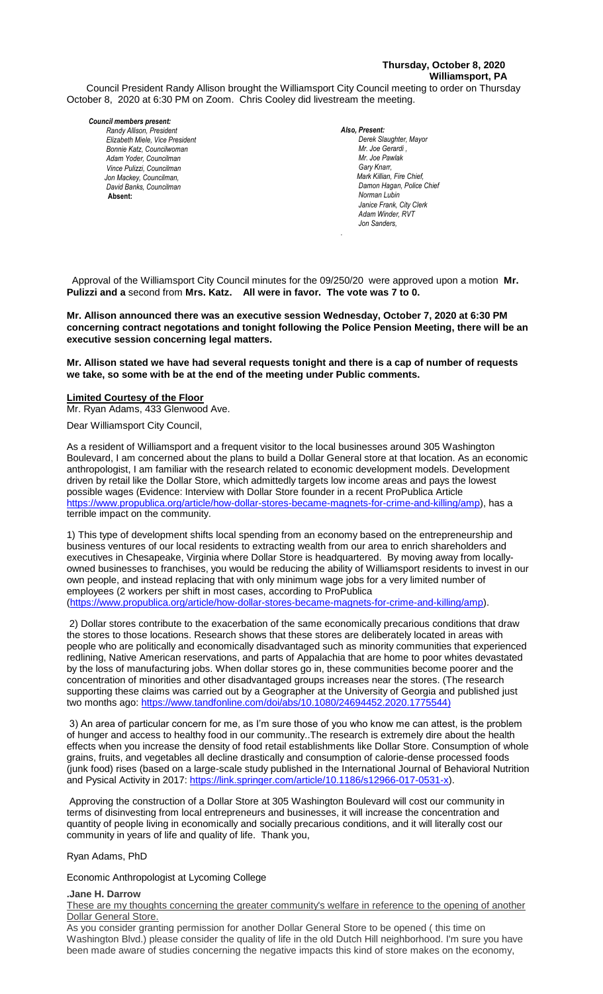# **Thursday, October 8, 2020 Williamsport, PA**

Council President Randy Allison brought the Williamsport City Council meeting to order on Thursday October 8, 2020 at 6:30 PM on Zoom. Chris Cooley did livestream the meeting.

#### *Council members present:*

*Randy Allison, President , President Elizabeth Miele, Vice President Bill Hall, Councilman Bonnie Katz, Councilwoman Adam Yoder, Councilman Vince Pulizzi, Councilman Jon Mackey, Councilman, David Banks, Councilman*  **Absent:** 

*Also, Present:*  **Derek Slaughter, Mayor** *Mr. Joe Gerardi , Mr. Joseph Pawlak Mr. Joe Pawlak Gary Knarr, Mark Killian, Fire Chief, Adam Winder C. Dean Heinbach, Fire Chief* **Damon Hagan, Police Chief** *Norman Lubin Janice Frank, City Clerk* Adam Winder, RVT *Jon Sanders,* 

 Approval of the Williamsport City Council minutes for the 09/250/20 were approved upon a motion **Mr. Pulizzi and a** second from **Mrs. Katz. All were in favor. The vote was 7 to 0.** 

*.*

Mr. Allison announced there was an executive session Wednesday, October 7, 2020 at 6:30 PM **concerning contract negotations and tonight following the Police Pension Meeting, there will be an**  *.*  **executive session concerning legal matters.** 

**Mr. Allison stated we have had several requests tonight and there is a cap of number of requests**  *Mr. Tom Cillo C. Dean Heinbach, Fire Chief* we take, so some with be at the end of the meeting under Public comments. *Dave Young, Police Chief Chief Heinbach absent*

### **Limited Courtesy of the Floor**

Mr. Ryan Adams, 433 Glenwood Ave.

### Dear Williamsport City Council,

As a resident of Williamsport and a frequent visitor to the local businesses around 305 Washington Boulevard, I am concerned about the plans to build a Dollar General store at that location. As an economic anthropologist, I am familiar with the research related to economic development models. Development *Members of News Media* driven by retail like the Dollar Store, which admittedly targets low income areas and pays the lowest possible wages (Evidence: Interview with Dollar Store founder in a recent ProPublica Article [https://www.propublica.org/article/how-dollar-stores-became-magnets-for-crime-and-killing/amp\)](https://www.propublica.org/article/how-dollar-stores-became-magnets-for-crime-and-killing/amp), has a terrible impact on the community.

1) This type of development shifts local spending from an economy based on the entrepreneurship and business ventures of our local residents to extracting wealth from our area to enrich shareholders and executives in Chesapeake, Virginia where Dollar Store is headquartered. By moving away from locallyowned businesses to franchises, you would be reducing the ability of Williamsport residents to invest in our own people, and instead replacing that with only minimum wage jobs for a very limited number of employees (2 workers per shift in most cases, according to ProPublica [\(https://www.propublica.org/article/how-dollar-stores-became-magnets-for-crime-and-killing/amp\)](https://www.propublica.org/article/how-dollar-stores-became-magnets-for-crime-and-killing/amp).

2) Dollar stores contribute to the exacerbation of the same economically precarious conditions that draw the stores to those locations. Research shows that these stores are deliberately located in areas with people who are politically and economically disadvantaged such as minority communities that experienced redlining, Native American reservations, and parts of Appalachia that are home to poor whites devastated by the loss of manufacturing jobs. When dollar stores go in, these communities become poorer and the concentration of minorities and other disadvantaged groups increases near the stores. (The research supporting these claims was carried out by a Geographer at the University of Georgia and published just two months ago: [https://www.tandfonline.com/doi/abs/10.1080/24694452.2020.1775544\)](https://www.tandfonline.com/doi/abs/10.1080/24694452.2020.1775544)

3) An area of particular concern for me, as I'm sure those of you who know me can attest, is the problem of hunger and access to healthy food in our community..The research is extremely dire about the health effects when you increase the density of food retail establishments like Dollar Store. Consumption of whole grains, fruits, and vegetables all decline drastically and consumption of calorie-dense processed foods (junk food) rises (based on a large-scale study published in the International Journal of Behavioral Nutrition and Pysical Activity in 2017: [https://link.springer.com/article/10.1186/s12966-017-0531-x\)](https://link.springer.com/article/10.1186/s12966-017-0531-x).

Approving the construction of a Dollar Store at 305 Washington Boulevard will cost our community in terms of disinvesting from local entrepreneurs and businesses, it will increase the concentration and quantity of people living in economically and socially precarious conditions, and it will literally cost our community in years of life and quality of life. Thank you,

### Ryan Adams, PhD

### Economic Anthropologist at Lycoming College

### **.Jane H. Darrow**

These are my thoughts concerning the greater community's welfare in reference to the opening of another Dollar General Store.

As you consider granting permission for another Dollar General Store to be opened ( this time on Washington Blvd.) please consider the quality of life in the old Dutch Hill neighborhood. I'm sure you have been made aware of studies concerning the negative impacts this kind of store makes on the economy,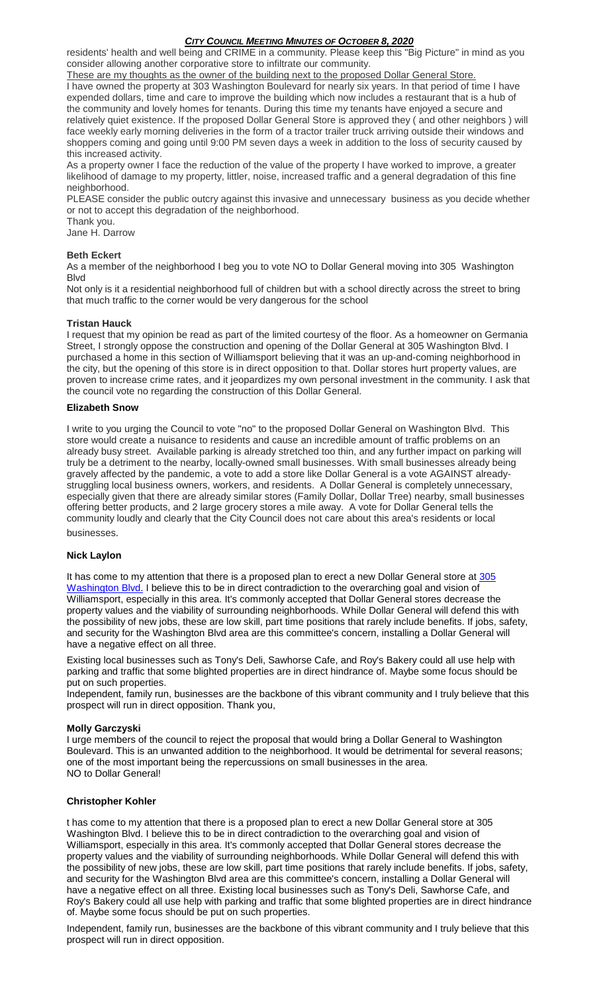residents' health and well being and CRIME in a community. Please keep this "Big Picture" in mind as you consider allowing another corporative store to infiltrate our community.

These are my thoughts as the owner of the building next to the proposed Dollar General Store. I have owned the property at 303 Washington Boulevard for nearly six years. In that period of time I have expended dollars, time and care to improve the building which now includes a restaurant that is a hub of the community and lovely homes for tenants. During this time my tenants have enjoyed a secure and relatively quiet existence. If the proposed Dollar General Store is approved they ( and other neighbors ) will face weekly early morning deliveries in the form of a tractor trailer truck arriving outside their windows and shoppers coming and going until 9:00 PM seven days a week in addition to the loss of security caused by this increased activity.

As a property owner I face the reduction of the value of the property I have worked to improve, a greater likelihood of damage to my property, littler, noise, increased traffic and a general degradation of this fine neighborhood.

PLEASE consider the public outcry against this invasive and unnecessary business as you decide whether or not to accept this degradation of the neighborhood.

Thank you.

Jane H. Darrow

# **Beth Eckert**

As a member of the neighborhood I beg you to vote NO to Dollar General moving into 305 Washington Blvd

Not only is it a residential neighborhood full of children but with a school directly across the street to bring that much traffic to the corner would be very dangerous for the school

# **Tristan Hauck**

I request that my opinion be read as part of the limited courtesy of the floor. As a homeowner on Germania Street, I strongly oppose the construction and opening of the Dollar General at 305 Washington Blvd. I purchased a home in this section of Williamsport believing that it was an up-and-coming neighborhood in the city, but the opening of this store is in direct opposition to that. Dollar stores hurt property values, are proven to increase crime rates, and it jeopardizes my own personal investment in the community. I ask that the council vote no regarding the construction of this Dollar General.

# **Elizabeth Snow**

I write to you urging the Council to vote "no" to the proposed Dollar General on Washington Blvd. This store would create a nuisance to residents and cause an incredible amount of traffic problems on an already busy street. Available parking is already stretched too thin, and any further impact on parking will truly be a detriment to the nearby, locally-owned small businesses. With small businesses already being gravely affected by the pandemic, a vote to add a store like Dollar General is a vote AGAINST alreadystruggling local business owners, workers, and residents. A Dollar General is completely unnecessary, especially given that there are already similar stores (Family Dollar, Dollar Tree) nearby, small businesses offering better products, and 2 large grocery stores a mile away. A vote for Dollar General tells the community loudly and clearly that the City Council does not care about this area's residents or local businesses.

# **Nick Laylon**

It has come to my attention that there is a proposed plan to erect a new Dollar General store at 305 [Washington Blvd.](x-apple-data-detectors://4/) I believe this to be in direct contradiction to the overarching goal and vision of Williamsport, especially in this area. It's commonly accepted that Dollar General stores decrease the property values and the viability of surrounding neighborhoods. While Dollar General will defend this with the possibility of new jobs, these are low skill, part time positions that rarely include benefits. If jobs, safety, and security for the Washington Blvd area are this committee's concern, installing a Dollar General will have a negative effect on all three.

Existing local businesses such as Tony's Deli, Sawhorse Cafe, and Roy's Bakery could all use help with parking and traffic that some blighted properties are in direct hindrance of. Maybe some focus should be put on such properties.

Independent, family run, businesses are the backbone of this vibrant community and I truly believe that this prospect will run in direct opposition. Thank you,

# **Molly Garczyski**

I urge members of the council to reject the proposal that would bring a Dollar General to Washington Boulevard. This is an unwanted addition to the neighborhood. It would be detrimental for several reasons; one of the most important being the repercussions on small businesses in the area. NO to Dollar General!

# **Christopher Kohler**

t has come to my attention that there is a proposed plan to erect a new Dollar General store at 305 Washington Blvd. I believe this to be in direct contradiction to the overarching goal and vision of Williamsport, especially in this area. It's commonly accepted that Dollar General stores decrease the property values and the viability of surrounding neighborhoods. While Dollar General will defend this with the possibility of new jobs, these are low skill, part time positions that rarely include benefits. If jobs, safety, and security for the Washington Blvd area are this committee's concern, installing a Dollar General will have a negative effect on all three. Existing local businesses such as Tony's Deli, Sawhorse Cafe, and Roy's Bakery could all use help with parking and traffic that some blighted properties are in direct hindrance of. Maybe some focus should be put on such properties.

Independent, family run, businesses are the backbone of this vibrant community and I truly believe that this prospect will run in direct opposition.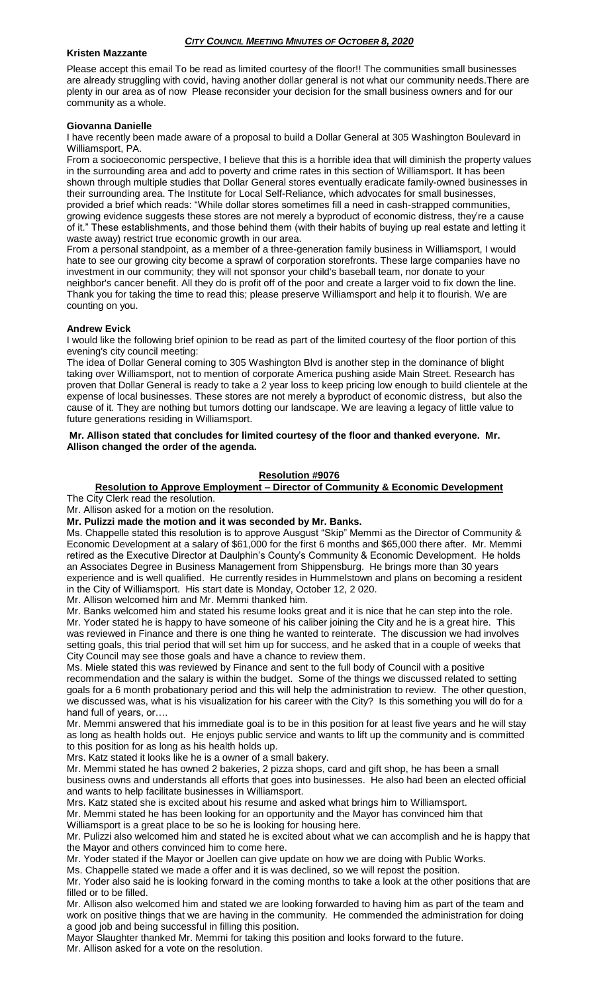### **Kristen Mazzante**

Please accept this email To be read as limited courtesy of the floor!! The communities small businesses are already struggling with covid, having another dollar general is not what our community needs.There are plenty in our area as of now Please reconsider your decision for the small business owners and for our community as a whole.

### **Giovanna Danielle**

I have recently been made aware of a proposal to build a Dollar General at 305 Washington Boulevard in Williamsport, PA.

From a socioeconomic perspective, I believe that this is a horrible idea that will diminish the property values in the surrounding area and add to poverty and crime rates in this section of Williamsport. It has been shown through multiple studies that Dollar General stores eventually eradicate family-owned businesses in their surrounding area. The Institute for Local Self-Reliance, which advocates for small businesses, provided a brief which reads: "While dollar stores sometimes fill a need in cash-strapped communities, growing evidence suggests these stores are not merely a byproduct of economic distress, they're a cause of it." These establishments, and those behind them (with their habits of buying up real estate and letting it waste away) restrict true economic growth in our area.

From a personal standpoint, as a member of a three-generation family business in Williamsport, I would hate to see our growing city become a sprawl of corporation storefronts. These large companies have no investment in our community; they will not sponsor your child's baseball team, nor donate to your neighbor's cancer benefit. All they do is profit off of the poor and create a larger void to fix down the line. Thank you for taking the time to read this; please preserve Williamsport and help it to flourish. We are counting on you.

### **Andrew Evick**

I would like the following brief opinion to be read as part of the limited courtesy of the floor portion of this evening's city council meeting:

The idea of Dollar General coming to 305 Washington Blvd is another step in the dominance of blight taking over Williamsport, not to mention of corporate America pushing aside Main Street. Research has proven that Dollar General is ready to take a 2 year loss to keep pricing low enough to build clientele at the expense of local businesses. These stores are not merely a byproduct of economic distress, but also the cause of it. They are nothing but tumors dotting our landscape. We are leaving a legacy of little value to future generations residing in Williamsport.

**Mr. Allison stated that concludes for limited courtesy of the floor and thanked everyone. Mr. Allison changed the order of the agenda.**

# **Resolution #9076**

# **Resolution to Approve Employment – Director of Community & Economic Development**

The City Clerk read the resolution.

Mr. Allison asked for a motion on the resolution.

**Mr. Pulizzi made the motion and it was seconded by Mr. Banks.**

Ms. Chappelle stated this resolution is to approve Ausgust "Skip" Memmi as the Director of Community & Economic Development at a salary of \$61,000 for the first 6 months and \$65,000 there after. Mr. Memmi retired as the Executive Director at Daulphin's County's Community & Economic Development. He holds an Associates Degree in Business Management from Shippensburg. He brings more than 30 years experience and is well qualified. He currently resides in Hummelstown and plans on becoming a resident in the City of Williamsport. His start date is Monday, October 12, 2 020.

Mr. Allison welcomed him and Mr. Memmi thanked him.

Mr. Banks welcomed him and stated his resume looks great and it is nice that he can step into the role. Mr. Yoder stated he is happy to have someone of his caliber joining the City and he is a great hire. This was reviewed in Finance and there is one thing he wanted to reinterate. The discussion we had involves setting goals, this trial period that will set him up for success, and he asked that in a couple of weeks that City Council may see those goals and have a chance to review them.

Ms. Miele stated this was reviewed by Finance and sent to the full body of Council with a positive recommendation and the salary is within the budget. Some of the things we discussed related to setting goals for a 6 month probationary period and this will help the administration to review. The other question, we discussed was, what is his visualization for his career with the City? Is this something you will do for a hand full of years, or….

Mr. Memmi answered that his immediate goal is to be in this position for at least five years and he will stay as long as health holds out. He enjoys public service and wants to lift up the community and is committed to this position for as long as his health holds up.

Mrs. Katz stated it looks like he is a owner of a small bakery.

Mr. Memmi stated he has owned 2 bakeries, 2 pizza shops, card and gift shop, he has been a small business owns and understands all efforts that goes into businesses. He also had been an elected official and wants to help facilitate businesses in Williamsport.

Mrs. Katz stated she is excited about his resume and asked what brings him to Williamsport.

Mr. Memmi stated he has been looking for an opportunity and the Mayor has convinced him that Williamsport is a great place to be so he is looking for housing here.

Mr. Pulizzi also welcomed him and stated he is excited about what we can accomplish and he is happy that the Mayor and others convinced him to come here.

Mr. Yoder stated if the Mayor or Joellen can give update on how we are doing with Public Works.

Ms. Chappelle stated we made a offer and it is was declined, so we will repost the position.

Mr. Yoder also said he is looking forward in the coming months to take a look at the other positions that are filled or to be filled.

Mr. Allison also welcomed him and stated we are looking forwarded to having him as part of the team and work on positive things that we are having in the community. He commended the administration for doing a good job and being successful in filling this position.

Mayor Slaughter thanked Mr. Memmi for taking this position and looks forward to the future. Mr. Allison asked for a vote on the resolution.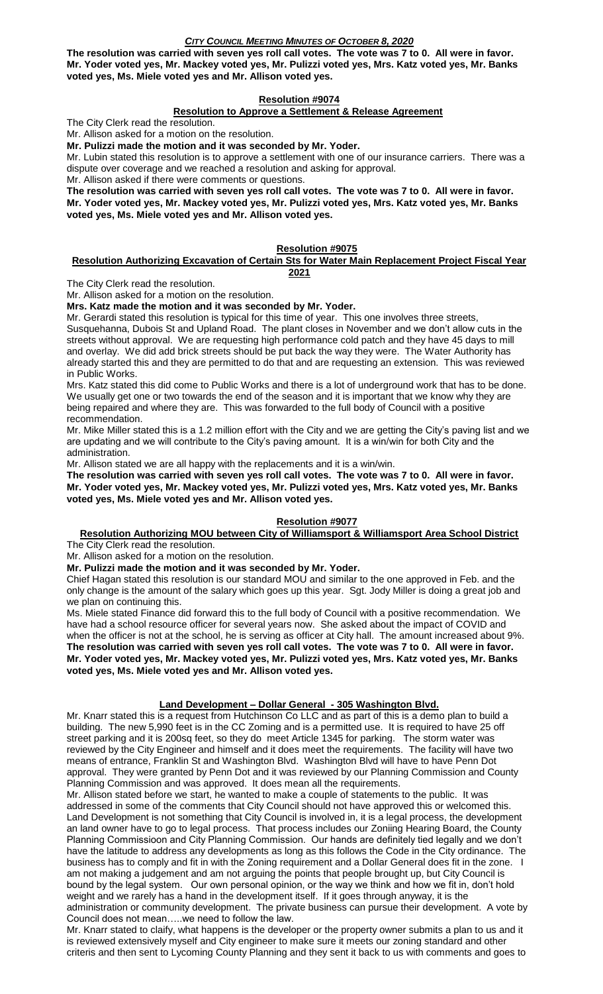**The resolution was carried with seven yes roll call votes. The vote was 7 to 0. All were in favor. Mr. Yoder voted yes, Mr. Mackey voted yes, Mr. Pulizzi voted yes, Mrs. Katz voted yes, Mr. Banks voted yes, Ms. Miele voted yes and Mr. Allison voted yes.**

# **Resolution #9074**

# **Resolution to Approve a Settlement & Release Agreement**

The City Clerk read the resolution.

Mr. Allison asked for a motion on the resolution.

**Mr. Pulizzi made the motion and it was seconded by Mr. Yoder.**

Mr. Lubin stated this resolution is to approve a settlement with one of our insurance carriers. There was a dispute over coverage and we reached a resolution and asking for approval.

Mr. Allison asked if there were comments or questions.

**The resolution was carried with seven yes roll call votes. The vote was 7 to 0. All were in favor. Mr. Yoder voted yes, Mr. Mackey voted yes, Mr. Pulizzi voted yes, Mrs. Katz voted yes, Mr. Banks voted yes, Ms. Miele voted yes and Mr. Allison voted yes.**

# **Resolution #9075**

### **Resolution Authorizing Excavation of Certain Sts for Water Main Replacement Project Fiscal Year 2021**

The City Clerk read the resolution.

Mr. Allison asked for a motion on the resolution.

# **Mrs. Katz made the motion and it was seconded by Mr. Yoder.**

Mr. Gerardi stated this resolution is typical for this time of year. This one involves three streets, Susquehanna, Dubois St and Upland Road. The plant closes in November and we don't allow cuts in the streets without approval. We are requesting high performance cold patch and they have 45 days to mill and overlay. We did add brick streets should be put back the way they were. The Water Authority has already started this and they are permitted to do that and are requesting an extension. This was reviewed in Public Works.

Mrs. Katz stated this did come to Public Works and there is a lot of underground work that has to be done. We usually get one or two towards the end of the season and it is important that we know why they are being repaired and where they are. This was forwarded to the full body of Council with a positive recommendation.

Mr. Mike Miller stated this is a 1.2 million effort with the City and we are getting the City's paving list and we are updating and we will contribute to the City's paving amount. It is a win/win for both City and the administration.

Mr. Allison stated we are all happy with the replacements and it is a win/win.

**The resolution was carried with seven yes roll call votes. The vote was 7 to 0. All were in favor. Mr. Yoder voted yes, Mr. Mackey voted yes, Mr. Pulizzi voted yes, Mrs. Katz voted yes, Mr. Banks voted yes, Ms. Miele voted yes and Mr. Allison voted yes.**

# **Resolution #9077**

# **Resolution Authorizing MOU between City of Williamsport & Williamsport Area School District**

The City Clerk read the resolution.

Mr. Allison asked for a motion on the resolution.

**Mr. Pulizzi made the motion and it was seconded by Mr. Yoder.**

Chief Hagan stated this resolution is our standard MOU and similar to the one approved in Feb. and the only change is the amount of the salary which goes up this year. Sgt. Jody Miller is doing a great job and we plan on continuing this.

Ms. Miele stated Finance did forward this to the full body of Council with a positive recommendation. We have had a school resource officer for several years now. She asked about the impact of COVID and when the officer is not at the school, he is serving as officer at City hall. The amount increased about 9%. **The resolution was carried with seven yes roll call votes. The vote was 7 to 0. All were in favor. Mr. Yoder voted yes, Mr. Mackey voted yes, Mr. Pulizzi voted yes, Mrs. Katz voted yes, Mr. Banks voted yes, Ms. Miele voted yes and Mr. Allison voted yes.**

# **Land Development – Dollar General - 305 Washington Blvd.**

Mr. Knarr stated this is a request from Hutchinson Co LLC and as part of this is a demo plan to build a building. The new 5,990 feet is in the CC Zoming and is a permitted use. It is required to have 25 off street parking and it is 200sq feet, so they do meet Article 1345 for parking. The storm water was reviewed by the City Engineer and himself and it does meet the requirements. The facility will have two means of entrance, Franklin St and Washington Blvd. Washington Blvd will have to have Penn Dot approval. They were granted by Penn Dot and it was reviewed by our Planning Commission and County Planning Commission and was approved. It does mean all the requirements.

Mr. Allison stated before we start, he wanted to make a couple of statements to the public. It was addressed in some of the comments that City Council should not have approved this or welcomed this. Land Development is not something that City Council is involved in, it is a legal process, the development an land owner have to go to legal process. That process includes our Zoniing Hearing Board, the County Planning Commissioon and City Planning Commission. Our hands are definitely tied legally and we don't have the latitude to address any developments as long as this follows the Code in the City ordinance. The business has to comply and fit in with the Zoning requirement and a Dollar General does fit in the zone. I am not making a judgement and am not arguing the points that people brought up, but City Council is bound by the legal system. Our own personal opinion, or the way we think and how we fit in, don't hold weight and we rarely has a hand in the development itself. If it goes through anyway, it is the administration or community development. The private business can pursue their development. A vote by Council does not mean…..we need to follow the law.

Mr. Knarr stated to claify, what happens is the developer or the property owner submits a plan to us and it is reviewed extensively myself and City engineer to make sure it meets our zoning standard and other criteris and then sent to Lycoming County Planning and they sent it back to us with comments and goes to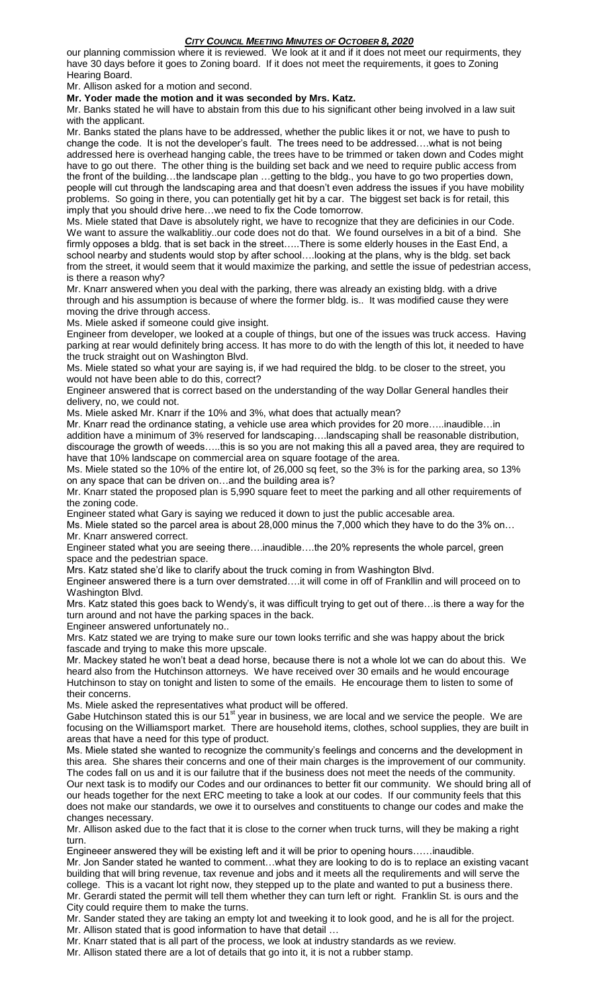our planning commission where it is reviewed. We look at it and if it does not meet our requirments, they have 30 days before it goes to Zoning board. If it does not meet the requirements, it goes to Zoning Hearing Board.

Mr. Allison asked for a motion and second.

**Mr. Yoder made the motion and it was seconded by Mrs. Katz.**

Mr. Banks stated he will have to abstain from this due to his significant other being involved in a law suit with the applicant.

Mr. Banks stated the plans have to be addressed, whether the public likes it or not, we have to push to change the code. It is not the developer's fault. The trees need to be addressed….what is not being addressed here is overhead hanging cable, the trees have to be trimmed or taken down and Codes might have to go out there. The other thing is the building set back and we need to require public access from the front of the building…the landscape plan …getting to the bldg., you have to go two properties down, people will cut through the landscaping area and that doesn't even address the issues if you have mobility problems. So going in there, you can potentially get hit by a car. The biggest set back is for retail, this imply that you should drive here…we need to fix the Code tomorrow.

Ms. Miele stated that Dave is absolutely right, we have to recognize that they are deficinies in our Code. We want to assure the walkablitiy..our code does not do that. We found ourselves in a bit of a bind. She firmly opposes a bldg. that is set back in the street…..There is some elderly houses in the East End, a school nearby and students would stop by after school....looking at the plans, why is the bldg. set back from the street, it would seem that it would maximize the parking, and settle the issue of pedestrian access, is there a reason why?

Mr. Knarr answered when you deal with the parking, there was already an existing bldg. with a drive through and his assumption is because of where the former bldg. is.. It was modified cause they were moving the drive through access.

Ms. Miele asked if someone could give insight.

Engineer from developer, we looked at a couple of things, but one of the issues was truck access. Having parking at rear would definitely bring access. It has more to do with the length of this lot, it needed to have the truck straight out on Washington Blvd.

Ms. Miele stated so what your are saying is, if we had required the bldg. to be closer to the street, you would not have been able to do this, correct?

Engineer answered that is correct based on the understanding of the way Dollar General handles their delivery, no, we could not.

Ms. Miele asked Mr. Knarr if the 10% and 3%, what does that actually mean?

Mr. Knarr read the ordinance stating, a vehicle use area which provides for 20 more…..inaudible…in addition have a minimum of 3% reserved for landscaping….landscaping shall be reasonable distribution, discourage the growth of weeds…..this is so you are not making this all a paved area, they are required to have that 10% landscape on commercial area on square footage of the area.

Ms. Miele stated so the 10% of the entire lot, of 26,000 sq feet, so the 3% is for the parking area, so 13% on any space that can be driven on…and the building area is?

Mr. Knarr stated the proposed plan is 5,990 square feet to meet the parking and all other requirements of the zoning code.

Engineer stated what Gary is saying we reduced it down to just the public accesable area.

Ms. Miele stated so the parcel area is about 28,000 minus the 7,000 which they have to do the 3% on… Mr. Knarr answered correct.

Engineer stated what you are seeing there….inaudible….the 20% represents the whole parcel, green space and the pedestrian space.

Mrs. Katz stated she'd like to clarify about the truck coming in from Washington Blvd.

Engineer answered there is a turn over demstrated….it will come in off of Frankllin and will proceed on to Washington Blvd.

Mrs. Katz stated this goes back to Wendy's, it was difficult trying to get out of there…is there a way for the turn around and not have the parking spaces in the back.

Engineer answered unfortunately no..

Mrs. Katz stated we are trying to make sure our town looks terrific and she was happy about the brick fascade and trying to make this more upscale.

Mr. Mackey stated he won't beat a dead horse, because there is not a whole lot we can do about this. We heard also from the Hutchinson attorneys. We have received over 30 emails and he would encourage Hutchinson to stay on tonight and listen to some of the emails. He encourage them to listen to some of their concerns.

Ms. Miele asked the representatives what product will be offered.

Gabe Hutchinson stated this is our 51<sup>st</sup> year in business, we are local and we service the people. We are focusing on the Williamsport market. There are household items, clothes, school supplies, they are built in areas that have a need for this type of product.

Ms. Miele stated she wanted to recognize the community's feelings and concerns and the development in this area. She shares their concerns and one of their main charges is the improvement of our community. The codes fall on us and it is our failutre that if the business does not meet the needs of the community. Our next task is to modify our Codes and our ordinances to better fit our community. We should bring all of our heads together for the next ERC meeting to take a look at our codes. If our community feels that this does not make our standards, we owe it to ourselves and constituents to change our codes and make the changes necessary.

Mr. Allison asked due to the fact that it is close to the corner when truck turns, will they be making a right turn.

Engineeer answered they will be existing left and it will be prior to opening hours……inaudible. Mr. Jon Sander stated he wanted to comment…what they are looking to do is to replace an existing vacant building that will bring revenue, tax revenue and jobs and it meets all the requlirements and will serve the college. This is a vacant lot right now, they stepped up to the plate and wanted to put a business there. Mr. Gerardi stated the permit will tell them whether they can turn left or right. Franklin St. is ours and the City could require them to make the turns.

Mr. Sander stated they are taking an empty lot and tweeking it to look good, and he is all for the project. Mr. Allison stated that is good information to have that detail …

Mr. Knarr stated that is all part of the process, we look at industry standards as we review.

Mr. Allison stated there are a lot of details that go into it, it is not a rubber stamp.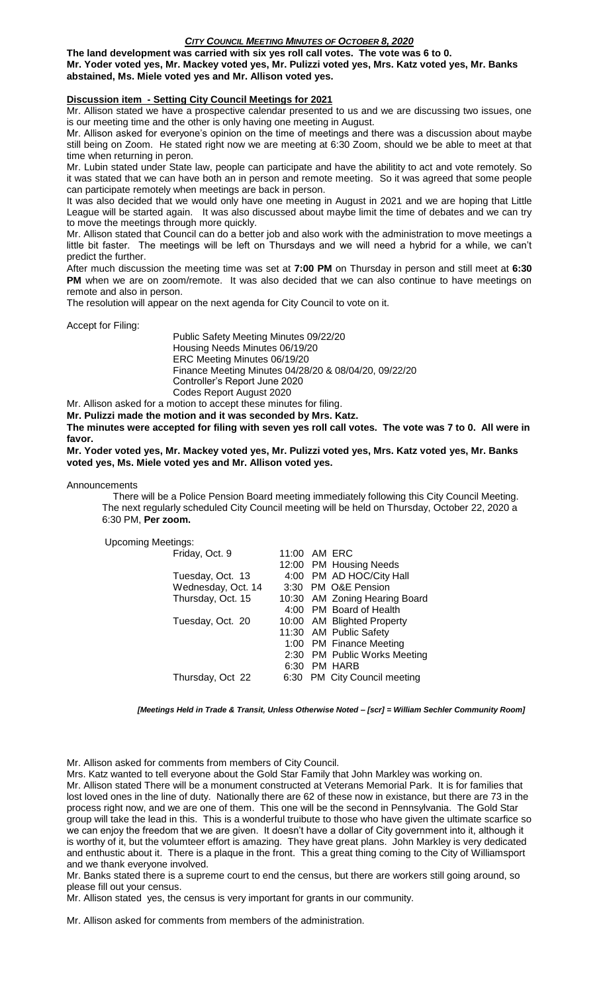**The land development was carried with six yes roll call votes. The vote was 6 to 0. Mr. Yoder voted yes, Mr. Mackey voted yes, Mr. Pulizzi voted yes, Mrs. Katz voted yes, Mr. Banks abstained, Ms. Miele voted yes and Mr. Allison voted yes.**

### **Discussion item - Setting City Council Meetings for 2021**

Mr. Allison stated we have a prospective calendar presented to us and we are discussing two issues, one is our meeting time and the other is only having one meeting in August.

Mr. Allison asked for everyone's opinion on the time of meetings and there was a discussion about maybe still being on Zoom. He stated right now we are meeting at 6:30 Zoom, should we be able to meet at that time when returning in peron.

Mr. Lubin stated under State law, people can participate and have the abilitity to act and vote remotely. So it was stated that we can have both an in person and remote meeting. So it was agreed that some people can participate remotely when meetings are back in person.

It was also decided that we would only have one meeting in August in 2021 and we are hoping that Little League will be started again. It was also discussed about maybe limit the time of debates and we can try to move the meetings through more quickly.

Mr. Allison stated that Council can do a better job and also work with the administration to move meetings a little bit faster. The meetings will be left on Thursdays and we will need a hybrid for a while, we can't predict the further.

After much discussion the meeting time was set at **7:00 PM** on Thursday in person and still meet at **6:30** PM when we are on zoom/remote. It was also decided that we can also continue to have meetings on remote and also in person.

The resolution will appear on the next agenda for City Council to vote on it.

Accept for Filing:

Public Safety Meeting Minutes 09/22/20 Housing Needs Minutes 06/19/20 ERC Meeting Minutes 06/19/20 Finance Meeting Minutes 04/28/20 & 08/04/20, 09/22/20 Controller's Report June 2020 Codes Report August 2020

Mr. Allison asked for a motion to accept these minutes for filing.

**Mr. Pulizzi made the motion and it was seconded by Mrs. Katz.**

**The minutes were accepted for filing with seven yes roll call votes. The vote was 7 to 0. All were in favor.**

**Mr. Yoder voted yes, Mr. Mackey voted yes, Mr. Pulizzi voted yes, Mrs. Katz voted yes, Mr. Banks voted yes, Ms. Miele voted yes and Mr. Allison voted yes.**

Announcements

 There will be a Police Pension Board meeting immediately following this City Council Meeting. The next regularly scheduled City Council meeting will be held on Thursday, October 22, 2020 a 6:30 PM, **Per zoom.** 

Upcoming Meetings:

| Friday, Oct. 9     |      | 11:00 AM ERC                  |
|--------------------|------|-------------------------------|
|                    |      | 12:00 PM Housing Needs        |
| Tuesday, Oct. 13   |      | 4:00 PM AD HOC/City Hall      |
| Wednesday, Oct. 14 |      | 3:30 PM O&E Pension           |
| Thursday, Oct. 15  |      | 10:30 AM Zoning Hearing Board |
|                    |      | 4:00 PM Board of Health       |
| Tuesday, Oct. 20   |      | 10:00 AM Blighted Property    |
|                    |      | 11:30 AM Public Safety        |
|                    |      | 1:00 PM Finance Meeting       |
|                    |      | 2:30 PM Public Works Meeting  |
|                    | 6:30 | PM HARB                       |
| Thursday, Oct 22   |      | 6:30 PM City Council meeting  |
|                    |      |                               |

*[Meetings Held in Trade & Transit, Unless Otherwise Noted – [scr] = William Sechler Community Room]*

Mr. Allison asked for comments from members of City Council.

Mrs. Katz wanted to tell everyone about the Gold Star Family that John Markley was working on. Mr. Allison stated There will be a monument constructed at Veterans Memorial Park. It is for families that lost loved ones in the line of duty. Nationally there are 62 of these now in existance, but there are 73 in the process right now, and we are one of them. This one will be the second in Pennsylvania. The Gold Star group will take the lead in this. This is a wonderful truibute to those who have given the ultimate scarfice so we can enjoy the freedom that we are given. It doesn't have a dollar of City government into it, although it is worthy of it, but the volumteer effort is amazing. They have great plans. John Markley is very dedicated and enthustic about it. There is a plaque in the front. This a great thing coming to the City of Williamsport and we thank everyone involved.

Mr. Banks stated there is a supreme court to end the census, but there are workers still going around, so please fill out your census.

Mr. Allison stated yes, the census is very important for grants in our community.

Mr. Allison asked for comments from members of the administration.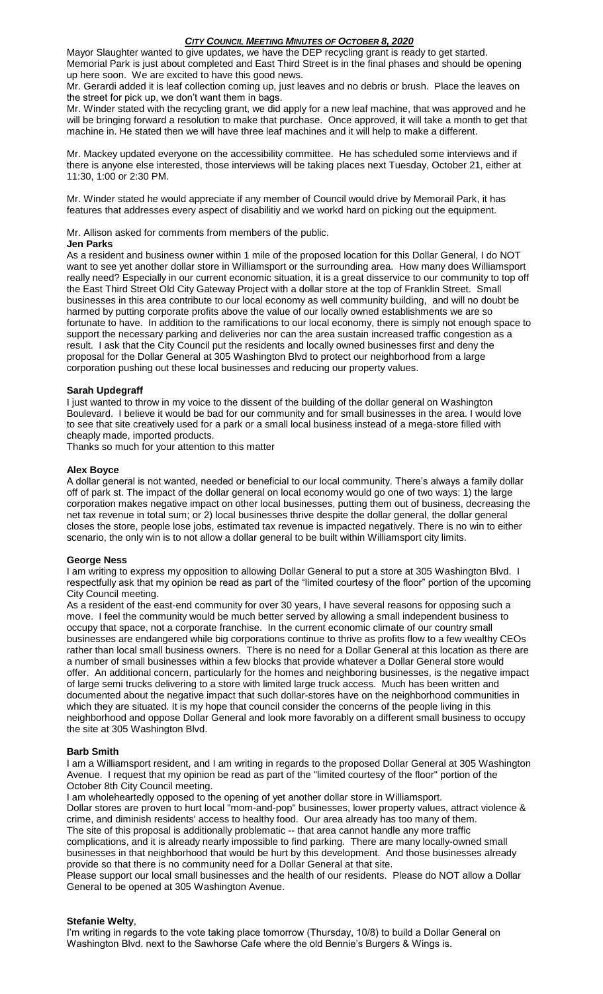Mayor Slaughter wanted to give updates, we have the DEP recycling grant is ready to get started. Memorial Park is just about completed and East Third Street is in the final phases and should be opening up here soon. We are excited to have this good news.

Mr. Gerardi added it is leaf collection coming up, just leaves and no debris or brush. Place the leaves on the street for pick up, we don't want them in bags.

Mr. Winder stated with the recycling grant, we did apply for a new leaf machine, that was approved and he will be bringing forward a resolution to make that purchase. Once approved, it will take a month to get that machine in. He stated then we will have three leaf machines and it will help to make a different.

Mr. Mackey updated everyone on the accessibility committee. He has scheduled some interviews and if there is anyone else interested, those interviews will be taking places next Tuesday, October 21, either at 11:30, 1:00 or 2:30 PM.

Mr. Winder stated he would appreciate if any member of Council would drive by Memorail Park, it has features that addresses every aspect of disabilitiy and we workd hard on picking out the equipment.

Mr. Allison asked for comments from members of the public.

### **Jen Parks**

As a resident and business owner within 1 mile of the proposed location for this Dollar General, I do NOT want to see yet another dollar store in Williamsport or the surrounding area. How many does Williamsport really need? Especially in our current economic situation, it is a great disservice to our community to top off the East Third Street Old City Gateway Project with a dollar store at the top of Franklin Street. Small businesses in this area contribute to our local economy as well community building, and will no doubt be harmed by putting corporate profits above the value of our locally owned establishments we are so fortunate to have. In addition to the ramifications to our local economy, there is simply not enough space to support the necessary parking and deliveries nor can the area sustain increased traffic congestion as a result. I ask that the City Council put the residents and locally owned businesses first and deny the proposal for the Dollar General at 305 Washington Blvd to protect our neighborhood from a large corporation pushing out these local businesses and reducing our property values.

### **Sarah Updegraff**

I just wanted to throw in my voice to the dissent of the building of the dollar general on Washington Boulevard. I believe it would be bad for our community and for small businesses in the area. I would love to see that site creatively used for a park or a small local business instead of a mega-store filled with cheaply made, imported products.

Thanks so much for your attention to this matter

### **Alex Boyce**

A dollar general is not wanted, needed or beneficial to our local community. There's always a family dollar off of park st. The impact of the dollar general on local economy would go one of two ways: 1) the large corporation makes negative impact on other local businesses, putting them out of business, decreasing the net tax revenue in total sum; or 2) local businesses thrive despite the dollar general, the dollar general closes the store, people lose jobs, estimated tax revenue is impacted negatively. There is no win to either scenario, the only win is to not allow a dollar general to be built within Williamsport city limits.

### **George Ness**

I am writing to express my opposition to allowing Dollar General to put a store at 305 Washington Blvd. I respectfully ask that my opinion be read as part of the "limited courtesy of the floor" portion of the upcoming City Council meeting.

As a resident of the east-end community for over 30 years, I have several reasons for opposing such a move. I feel the community would be much better served by allowing a small independent business to occupy that space, not a corporate franchise. In the current economic climate of our country small businesses are endangered while big corporations continue to thrive as profits flow to a few wealthy CEOs rather than local small business owners. There is no need for a Dollar General at this location as there are a number of small businesses within a few blocks that provide whatever a Dollar General store would offer. An additional concern, particularly for the homes and neighboring businesses, is the negative impact of large semi trucks delivering to a store with limited large truck access. Much has been written and documented about the negative impact that such dollar-stores have on the neighborhood communities in which they are situated. It is my hope that council consider the concerns of the people living in this neighborhood and oppose Dollar General and look more favorably on a different small business to occupy the site at 305 Washington Blvd.

### **Barb Smith**

I am a Williamsport resident, and I am writing in regards to the proposed Dollar General at 305 Washington Avenue. I request that my opinion be read as part of the "limited courtesy of the floor" portion of the October 8th City Council meeting.

I am wholeheartedly opposed to the opening of yet another dollar store in Williamsport.

Dollar stores are proven to hurt local "mom-and-pop" businesses, lower property values, attract violence & crime, and diminish residents' access to healthy food. Our area already has too many of them. The site of this proposal is additionally problematic -- that area cannot handle any more traffic complications, and it is already nearly impossible to find parking. There are many locally-owned small businesses in that neighborhood that would be hurt by this development. And those businesses already provide so that there is no community need for a Dollar General at that site.

Please support our local small businesses and the health of our residents. Please do NOT allow a Dollar General to be opened at 305 Washington Avenue.

### **Stefanie Welty**,

I'm writing in regards to the vote taking place tomorrow (Thursday, 10/8) to build a Dollar General on Washington Blvd. next to the Sawhorse Cafe where the old Bennie's Burgers & Wings is.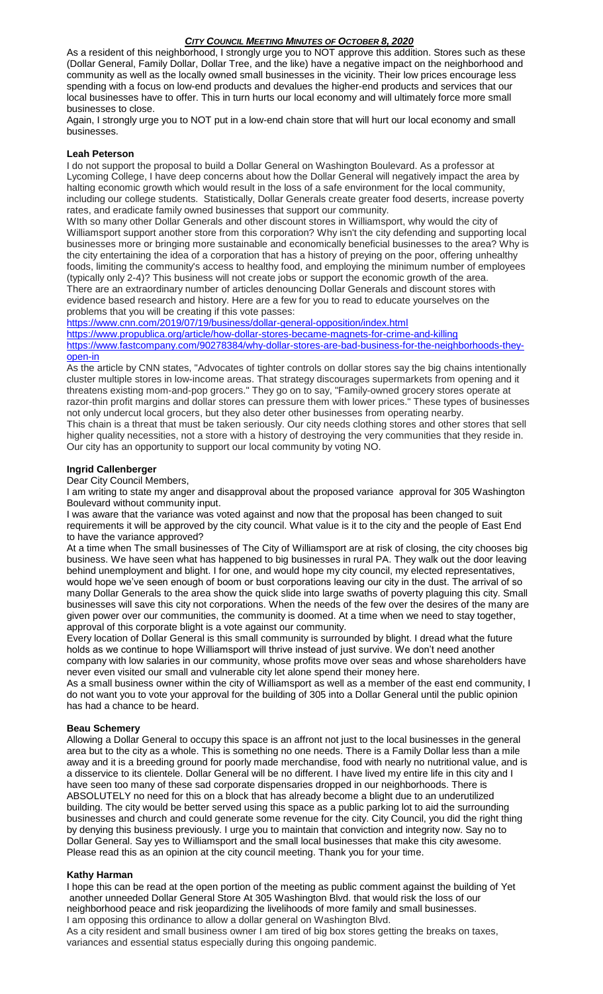As a resident of this neighborhood, I strongly urge you to NOT approve this addition. Stores such as these (Dollar General, Family Dollar, Dollar Tree, and the like) have a negative impact on the neighborhood and community as well as the locally owned small businesses in the vicinity. Their low prices encourage less spending with a focus on low-end products and devalues the higher-end products and services that our local businesses have to offer. This in turn hurts our local economy and will ultimately force more small businesses to close.

Again, I strongly urge you to NOT put in a low-end chain store that will hurt our local economy and small businesses.

### **Leah Peterson**

I do not support the proposal to build a Dollar General on Washington Boulevard. As a professor at Lycoming College, I have deep concerns about how the Dollar General will negatively impact the area by halting economic growth which would result in the loss of a safe environment for the local community, including our college students. Statistically, Dollar Generals create greater food deserts, increase poverty rates, and eradicate family owned businesses that support our community.

WIth so many other Dollar Generals and other discount stores in Williamsport, why would the city of Williamsport support another store from this corporation? Why isn't the city defending and supporting local businesses more or bringing more sustainable and economically beneficial businesses to the area? Why is the city entertaining the idea of a corporation that has a history of preying on the poor, offering unhealthy foods, limiting the community's access to healthy food, and employing the minimum number of employees (typically only 2-4)? This business will not create jobs or support the economic growth of the area. There are an extraordinary number of articles denouncing Dollar Generals and discount stores with evidence based research and history. Here are a few for you to read to educate yourselves on the problems that you will be creating if this vote passes:

<https://www.cnn.com/2019/07/19/business/dollar-general-opposition/index.html>

<https://www.propublica.org/article/how-dollar-stores-became-magnets-for-crime-and-killing> [https://www.fastcompany.com/90278384/why-dollar-stores-are-bad-business-for-the-neighborhoods-they](https://www.fastcompany.com/90278384/why-dollar-stores-are-bad-business-for-the-neighborhoods-they-open-in)[open-in](https://www.fastcompany.com/90278384/why-dollar-stores-are-bad-business-for-the-neighborhoods-they-open-in)

As the article by CNN states, "Advocates of tighter controls on dollar stores say the big chains intentionally cluster multiple stores in low-income areas. That strategy discourages supermarkets from opening and it threatens existing mom-and-pop grocers." They go on to say, "Family-owned grocery stores operate at razor-thin profit margins and dollar stores can pressure them with lower prices." These types of businesses not only undercut local grocers, but they also deter other businesses from operating nearby. This chain is a threat that must be taken seriously. Our city needs clothing stores and other stores that sell

higher quality necessities, not a store with a history of destroying the very communities that they reside in. Our city has an opportunity to support our local community by voting NO.

### **Ingrid Callenberger**

Dear City Council Members,

I am writing to state my anger and disapproval about the proposed variance approval for 305 Washington Boulevard without community input.

I was aware that the variance was voted against and now that the proposal has been changed to suit requirements it will be approved by the city council. What value is it to the city and the people of East End to have the variance approved?

At a time when The small businesses of The City of Williamsport are at risk of closing, the city chooses big business. We have seen what has happened to big businesses in rural PA. They walk out the door leaving behind unemployment and blight. I for one, and would hope my city council, my elected representatives, would hope we've seen enough of boom or bust corporations leaving our city in the dust. The arrival of so many Dollar Generals to the area show the quick slide into large swaths of poverty plaguing this city. Small businesses will save this city not corporations. When the needs of the few over the desires of the many are given power over our communities, the community is doomed. At a time when we need to stay together, approval of this corporate blight is a vote against our community.

Every location of Dollar General is this small community is surrounded by blight. I dread what the future holds as we continue to hope Williamsport will thrive instead of just survive. We don't need another company with low salaries in our community, whose profits move over seas and whose shareholders have never even visited our small and vulnerable city let alone spend their money here.

As a small business owner within the city of Williamsport as well as a member of the east end community, I do not want you to vote your approval for the building of 305 into a Dollar General until the public opinion has had a chance to be heard.

# **Beau Schemery**

Allowing a Dollar General to occupy this space is an affront not just to the local businesses in the general area but to the city as a whole. This is something no one needs. There is a Family Dollar less than a mile away and it is a breeding ground for poorly made merchandise, food with nearly no nutritional value, and is a disservice to its clientele. Dollar General will be no different. I have lived my entire life in this city and I have seen too many of these sad corporate dispensaries dropped in our neighborhoods. There is ABSOLUTELY no need for this on a block that has already become a blight due to an underutilized building. The city would be better served using this space as a public parking lot to aid the surrounding businesses and church and could generate some revenue for the city. City Council, you did the right thing by denying this business previously. I urge you to maintain that conviction and integrity now. Say no to Dollar General. Say yes to Williamsport and the small local businesses that make this city awesome. Please read this as an opinion at the city council meeting. Thank you for your time.

### **Kathy Harman**

I hope this can be read at the open portion of the meeting as public comment against the building of Yet another unneeded Dollar General Store At 305 Washington Blvd. that would risk the loss of our neighborhood peace and risk jeopardizing the livelihoods of more family and small businesses. I am opposing this ordinance to allow a dollar general on Washington Blvd. As a city resident and small business owner I am tired of big box stores getting the breaks on taxes,

variances and essential status especially during this ongoing pandemic.